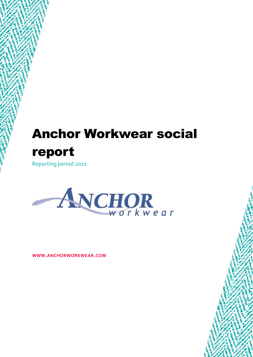# Anchor Workwear social report

Reporting period 2021



**WWW.ANCHORWORKWEAR.COM**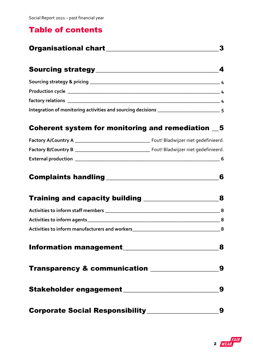## Table of contents

| <b>Organisational chart</b> |  |
|-----------------------------|--|
|                             |  |

|                                                                                   | $\sim$ 4 |
|-----------------------------------------------------------------------------------|----------|
| Production cycle ________________________                                         |          |
|                                                                                   |          |
| Integration of monitoring activities and sourcing decisions _____________________ |          |

### [Coherent system for monitoring and remediation](#page-4-1)  $\_\,5$

| <b>Factory A/Country A</b> | Fout! Bladwijzer niet gedefinieerd. |
|----------------------------|-------------------------------------|
| <b>Factory B/Country B</b> | Fout! Bladwijzer niet gedefinieerd. |
| <b>External production</b> | -6                                  |

| <b>Complaints handling</b> |  |  |
|----------------------------|--|--|
|----------------------------|--|--|

|                                                     | 8 |
|-----------------------------------------------------|---|
|                                                     | 8 |
|                                                     | 8 |
| Activities to inform manufacturers and workers<br>8 |   |
| <b>Information management</b>                       |   |
| <b>Transparency &amp; communication</b>             |   |
|                                                     |   |
| <b>Corporate Social Responsibility_____</b>         |   |

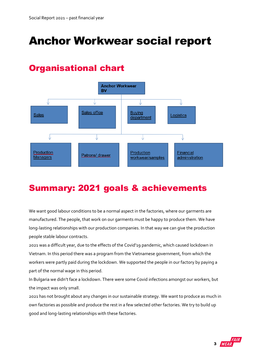# Anchor Workwear social report

# <span id="page-2-0"></span>Organisational chart



# Summary: 2021 goals & achievements

We want good labour conditions to be a normal aspect in the factories, where our garments are manufactured. The people, that work on our garments must be happy to produce them. We have long-lasting relationships with our production companies. In that way we can give the production people stable labour contracts.

2021 was a difficult year, due to the effects of the Covid'19 pandemic, which caused lockdown in Vietnam. In this period there was a program from the Vietnamese government, from which the workers were partly paid during the lockdown. We supported the people in our factory by paying a part of the normal wage in this period.

In Bulgaria we didn't face a lockdown. There were some Covid infections amongst our workers, but the impact was only small.

2021 has not brought about any changes in our sustainable strategy. We want to produce as much in own factories as possible and produce the rest in a few selected other factories. We try to build up good and long-lasting relationships with these factories.

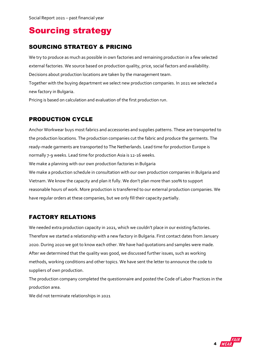# <span id="page-3-0"></span>Sourcing strategy

#### <span id="page-3-1"></span>SOURCING STRATEGY & PRICING

We try to produce as much as possible in own factories and remaining production in a few selected external factories. We source based on production quality, price, social factors and availability. Decisions about production locations are taken by the management team.

Together with the buying department we select new production companies. In 2021 we selected a new factory in Bulgaria.

Pricing is based on calculation and evaluation of the first production run.

#### <span id="page-3-2"></span>PRODUCTION CYCLE

Anchor Workwear buys most fabrics and accessories and supplies patterns. These are transported to the production locations. The production companies cut the fabric and produce the garments. The ready-made garments are transported to The Netherlands. Lead time for production Europe is normally 7-9 weeks. Lead time for production Asia is 12-16 weeks. We make a planning with our own production factories in Bulgaria We make a production schedule in consultation with our own production companies in Bulgaria and Vietnam. We know the capacity and plan it fully. We don't plan more than 100% to support reasonable hours of work. More production is transferred to our external production companies. We have regular orders at these companies, but we only fill their capacity partially.

#### <span id="page-3-3"></span>FACTORY RELATIONS

We needed extra production capacity in 2021, which we couldn't place in our existing factories. Therefore we started a relationship with a new factory in Bulgaria. First contact dates from January 2020. During 2020 we got to know each other. We have had quotations and samples were made. After we determined that the quality was good, we discussed further issues, such as working methods, working conditions and other topics. We have sent the letter to announce the code to suppliers of own production.

The production company completed the questionnaire and posted the Code of Labor Practices in the production area.

We did not terminate relationships in 2021

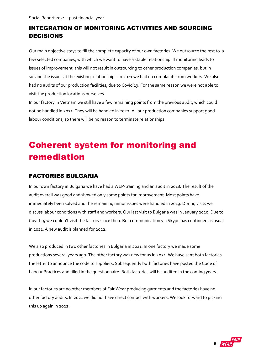#### <span id="page-4-0"></span>INTEGRATION OF MONITORING ACTIVITIES AND SOURCING DECISIONS

Our main objective stays to fill the complete capacity of our own factories. We outsource the rest to a few selected companies, with which we want to have a stable relationship. If monitoring leads to issues of improvement, this will not result in outsourcing to other production companies, but in solving the issues at the existing relationships. In 2021 we had no complaints from workers. We also had no audits of our production facilities, due to Covid'19. For the same reason we were not able to visit the production locations ourselves.

In our factory in Vietnam we still have a few remaining points from the previous audit, which could not be handled in 2021. They will be handled in 2022. All our production companies support good labour conditions, so there will be no reason to terminate relationships.

# <span id="page-4-1"></span>Coherent system for monitoring and remediation

#### FACTORIES BULGARIA

In our own factory in Bulgaria we have had a WEP-training and an audit in 2018. The result of the audit overall was good and showed only some points for improvement. Most points have immediately been solved and the remaining minor issues were handled in 2019. During visits we discuss labour conditions with staff and workers. Our last visit to Bulgaria was in January 2020. Due to Covid 19 we couldn't visit the factory since then. But communication via Skype has continued as usual in 2021. A new audit is planned for 2022.

We also produced in two other factories in Bulgaria in 2021. In one factory we made some productions several years ago. The other factory was new for us in 2021. We have sent both factories the letter to announce the code to suppliers. Subsequently both factories have posted the Code of Labour Practices and filled in the questionnaire. Both factories will be audited in the coming years.

In our factories are no other members of Fair Wear producing garments and the factories have no other factory audits. In 2021 we did not have direct contact with workers. We look forward to picking this up again in 2022.

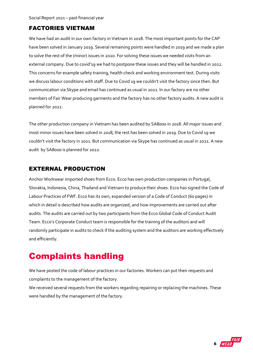Social Report 2021 – past financial year

#### FACTORIES VIETNAM

We have had an audit in our own factory in Vietnam in 2018. The most important points for the CAP have been solved in January 2019. Several remaining points were handled in 2019 and we made a plan to solve the rest of the (minor) issues in 2020. For solving these issues we needed visits from an external company. Due to covid'19 we had to postpone these issues and they will be handled in 2022. This concerns for example safety training, health check and working environment test. During visits we discuss labour conditions with staff. Due to Covid 19 we couldn't visit the factory since then. But communication via Skype and email has continued as usual in 2021. In our factory are no other members of Fair Wear producing garments and the factory has no other factory audits. A new audit is planned for 2022.

The other production company in Vietnam has been audited by SA8000 in 2018. All major issues and most minor issues have been solved in 2018, the rest has been solved in 2019. Due to Covid 19 we couldn't visit the factory in 2021. But communication via Skype has continued as usual in 2021. A new audit by SA8000 is planned for 2022.

#### <span id="page-5-0"></span>EXTERNAL PRODUCTION

Anchor Workwear imported shoes from Ecco. Ecco has own production companies in Portugal, Slovakia, Indonesia, China, Thailand and Vietnam to produce their shoes. Ecco has signed the Code of Labour Practices of FWF. Ecco has its own, expanded version of a Code of Conduct (60 pages) in which in detail is described how audits are organized, and how improvements are carried out after audits. The audits are carried out by two participants from the Ecco Global Code of Conduct Audit Team. Ecco's Corporate Conduct team is responsible for the training of the auditors and will randomly participate in audits to check if the auditing system and the auditors are working effectively and efficiently.

# <span id="page-5-1"></span>Complaints handling

We have posted the code of labour practices in our factories. Workers can put their requests and complaints to the management of the factory.

We received several requests from the workers regarding repairing or replacing the machines. These were handled by the management of the factory.

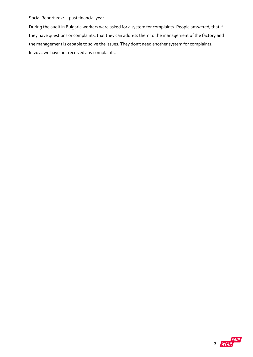#### Social Report 2021 – past financial year

<span id="page-6-0"></span>During the audit in Bulgaria workers were asked for a system for complaints. People answered, that if they have questions or complaints, that they can address them to the management of the factory and the management is capable to solve the issues. They don't need another system for complaints. In 2021 we have not received any complaints.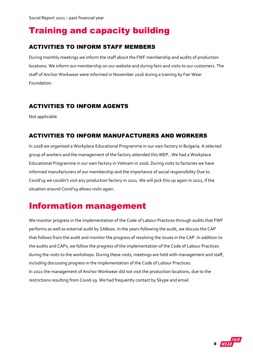# Training and capacity building

#### <span id="page-7-0"></span>ACTIVITIES TO INFORM STAFF MEMBERS

During monthly meetings we inform the staff about the FWF membership and audits of production locations. We inform our membership on our website and during fairs and visits to our customers. The staff of Anchor Workwear were informed in November 2016 during a training by Fair Wear Foundation.

#### <span id="page-7-1"></span>ACTIVITIES TO INFORM AGENTS

Not applicable

#### <span id="page-7-2"></span>ACTIVITIES TO INFORM MANUFACTURERS AND WORKERS

<span id="page-7-3"></span>In 2018 we organised a Workplace Educational Programme in our own factory in Bulgaria. A selected group of workers and the management of the factory attended this WEP.. We had a Workplace Educational Programme in our own factory in Vietnam in 2016. During visits to factories we have informed manufacturers of our membership and the importance of social responsibility Due to Covid'19 we couldn't visit any production factory in 2021. We will pick this up again in 2022, if the situation around Covid'19 allows visits again.

## Information management

We monitor progress in the implementation of the Code of Labour Practices through audits that FWF performs as well as external audit by SA8000. In the years following the audit, we discuss the CAP that follows from the audit and monitor the progress of resolving the issues in the CAP. In addition to the audits and CAPs, we follow the progress of the implementation of the Code of Labour Practices during the visits to the workshops. During these visits, meetings are held with management and staff, including discussing progress in the implementation of the Code of Labour Practices. In 2021 the management of Anchor Workwear did not visit the production locations, due to the restrictions resulting from Covid-19. We had frequently contact by Skype and email.